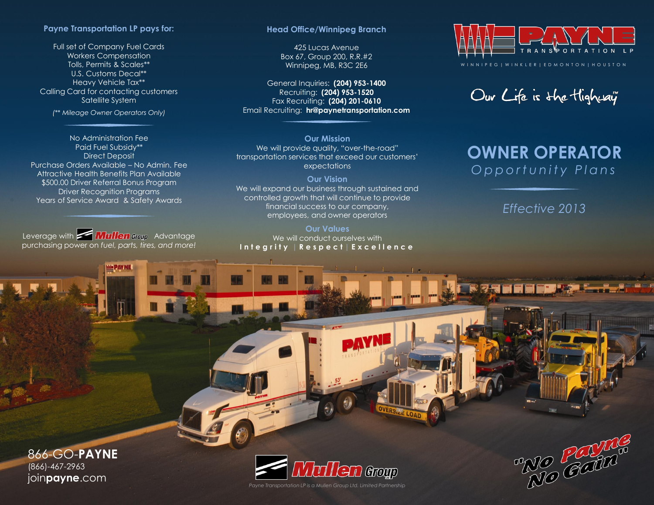## **Payne Transportation LP pays for:**

Full set of Company Fuel Cards Workers Compensation Tolls, Permits & Scales\*\* U.S. Customs Decal\*\* Heavy Vehicle Tax\*\* Calling Card for contacting customers Satellite System

*(\*\* Mileage Owner Operators Only)*

No Administration Fee Paid Fuel Subsidy\*\* Direct Deposit Purchase Orders Available – No Admin. Fee Attractive Health Benefits Plan Available \$500.00 Driver Referral Bonus Program Driver Recognition Programs Years of Service Award & Safety Awards

Leverage with **Advantage Mullen** aroup Advantage purchasing power on *fuel, parts, tires, and more!* 

**EPAYNE** 

## **Head Office/Winnipeg Branch**

425 Lucas Avenue Box 67, Group 200, R.R.#2 Winnipeg, MB, R3C 2E6

General Inquiries: **(204) 953-1400** Recruiting: **(204) 953-1520** Fax Recruiting: **(204) 201-0610** Email Recruiting: **hr@paynetransportation.com**

**Our Mission** We will provide quality, "over-the-road" transportation services that exceed our customers' expectations

**Our Vision** We will expand our business through sustained and controlled growth that will continue to provide financial success to our company, employees, and owner operators

## **Our Values** We will conduct ourselves with **I n t e g r i t y** | **R e s p e c t** | **Excellence**



Our Life is the Highway

## **OWNER OPERATOR** *O p p o r t u n i t y P l a n s*

*Effective 2013*

866-GO-**PAYNE** (866)-467-2963 join**payne**.com